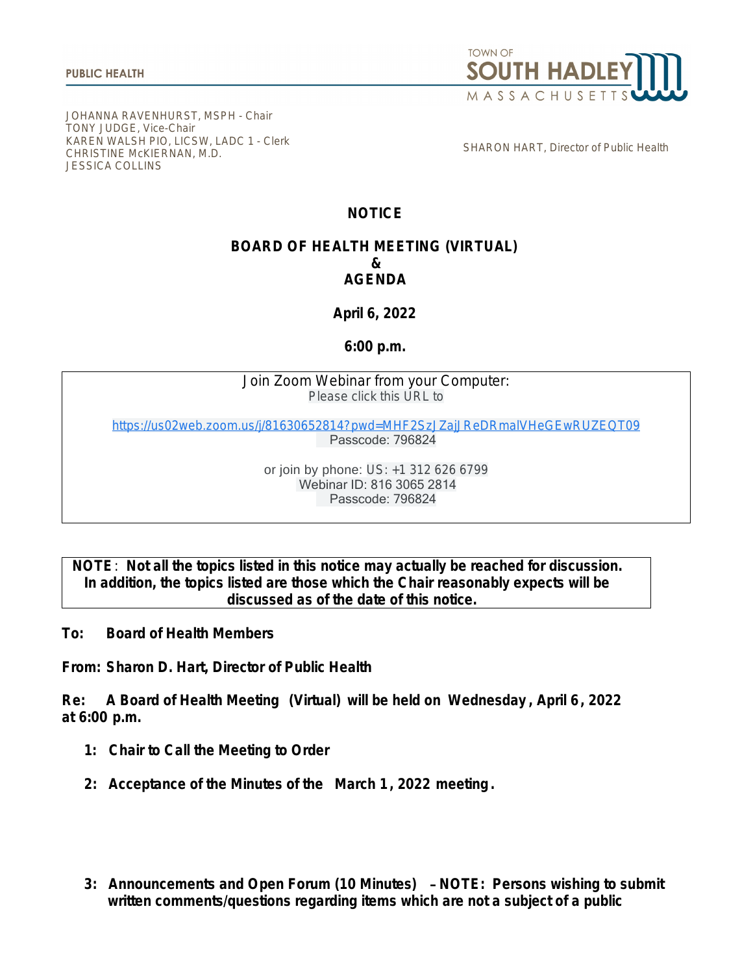

JOHANNA RAVENHURST, MSPH - Chair TONY JUDGE, Vice-Chair KAREN WALSH PIO, LICSW, LADC 1 - Clerk CHRISTINE McKIERNAN, M.D. JESSICA COLLINS

SHARON HART, Director of Public Health

## **NOTICE**

## **BOARD OF HEALTH MEETING (VIRTUAL) & AGENDA**

**April 6, 2022**

**6:00 p.m.**

Join Zoom Webinar from your Computer: Please click this URL to

[https://us02web.zoom.us/j/81630652814?pwd=MHF2SzJZajJReDRmalVHeGEwRUZEQT09](https://www.google.com/url?q=https://us02web.zoom.us/j/81630652814?pwd%3DMHF2SzJZajJReDRmalVHeGEwRUZEQT09&sa=D&source=calendar&ust=1649269445854567&usg=AOvVaw1i4BDJCNN0yy1vLAF2b5OQ) Passcode: 796824

> or join by phone: US: +1 312 626 6799 Webinar ID: 816 3065 2814 Passcode: 796824

**NOTE**: **Not all the topics listed in this notice may actually be reached for discussion. In addition, the topics listed are those which the Chair reasonably expects will be discussed as of the date of this notice.**

**To: Board of Health Members**

**From: Sharon D. Hart, Director of Public Health**

**Re: A Board of Health Meeting (Virtual) will be held on Wednesday , April 6, 2022 at 6:00 p.m.**

- **1: Chair to Call the Meeting to Order**
- **2: Acceptance of the Minutes of the March 1, 2022 meeting.**
- **3: Announcements and Open Forum (10 Minutes)** – **NOTE: Persons wishing to submit written comments/questions regarding items which are not a subject of a public**